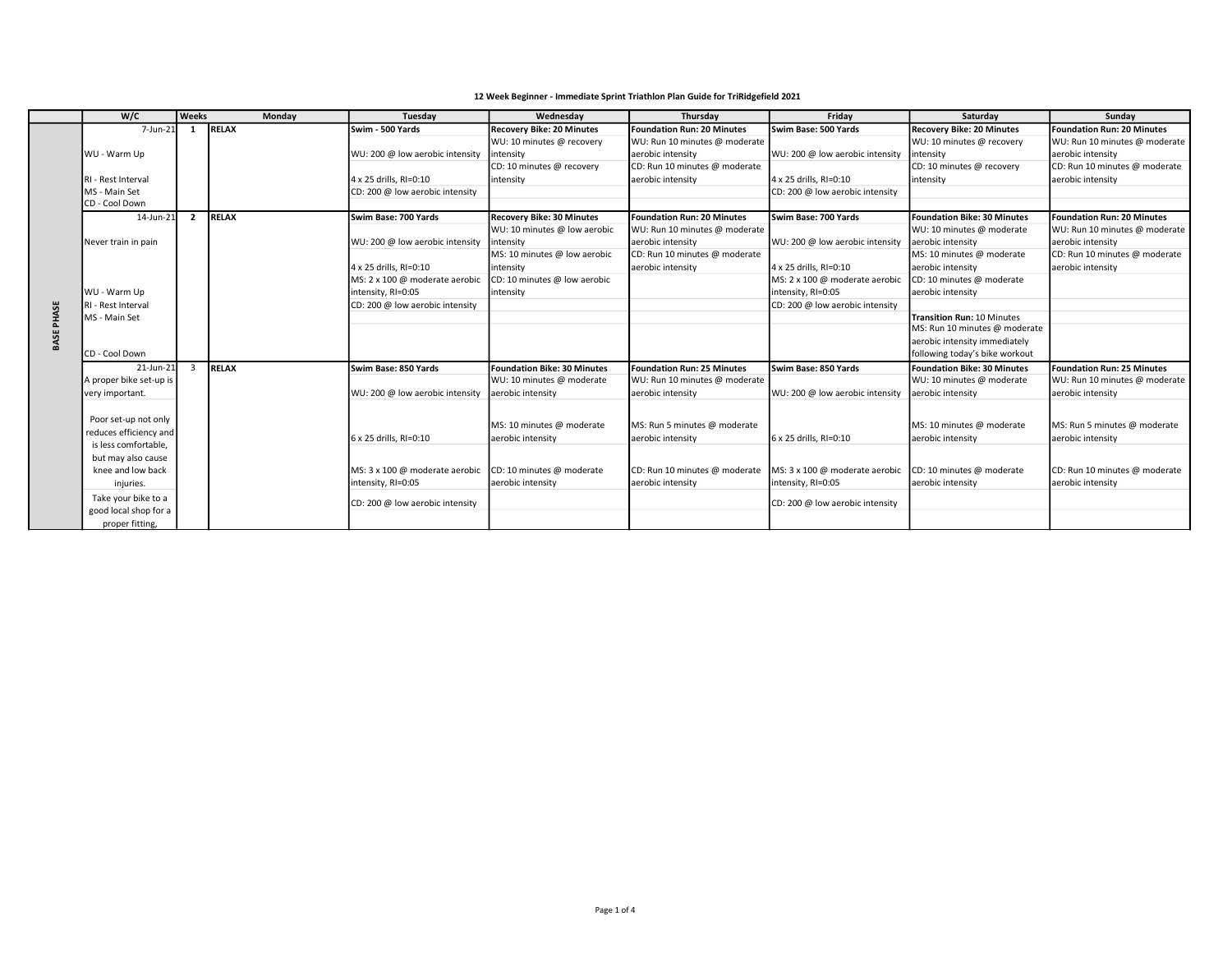| 12 Week Beginner - Immediate Sprint Triathlon Plan Guide for TriRidgefield 2021 |  |
|---------------------------------------------------------------------------------|--|
|---------------------------------------------------------------------------------|--|

|                   | W/C                                      | <b>Weeks</b>   | Monday       | Tuesday                         | Wednesday                        | Thursday                          | Fridav                          | Saturday                           | Sundav                            |
|-------------------|------------------------------------------|----------------|--------------|---------------------------------|----------------------------------|-----------------------------------|---------------------------------|------------------------------------|-----------------------------------|
|                   | $7$ -Jun-21                              | 1              | RELAX        | Swim - 500 Yards                | <b>Recovery Bike: 20 Minutes</b> | <b>Foundation Run: 20 Minutes</b> | lSwim Base: 500 Yards           | <b>Recovery Bike: 20 Minutes</b>   | <b>Foundation Run: 20 Minutes</b> |
|                   |                                          |                |              |                                 | WU: 10 minutes @ recovery        | WU: Run 10 minutes @ moderate     |                                 | WU: 10 minutes @ recovery          | WU: Run 10 minutes @ moderate     |
|                   | WU - Warm Up                             |                |              | WU: 200 @ low aerobic intensity | intensity                        | aerobic intensity                 | WU: 200 @ low aerobic intensity | intensity                          | aerobic intensity                 |
|                   |                                          |                |              |                                 | CD: 10 minutes @ recovery        | CD: Run 10 minutes @ moderate     |                                 | CD: 10 minutes @ recovery          | CD: Run 10 minutes @ moderate     |
|                   | RI - Rest Interval                       |                |              | 4 x 25 drills, RI=0:10          | intensity                        | aerobic intensity                 | 4 x 25 drills, RI=0:10          | intensity                          | aerobic intensity                 |
|                   | MS - Main Set                            |                |              | CD: 200 @ low aerobic intensity |                                  |                                   | CD: 200 @ low aerobic intensity |                                    |                                   |
|                   | CD - Cool Down                           |                |              |                                 |                                  |                                   |                                 |                                    |                                   |
|                   | 14-Jun-21                                | $\overline{2}$ | <b>RELAX</b> | lSwim Base: 700 Yards           | <b>Recovery Bike: 30 Minutes</b> | <b>Foundation Run: 20 Minutes</b> | lSwim Base: 700 Yards           | <b>Foundation Bike: 30 Minutes</b> | Foundation Run: 20 Minutes        |
|                   |                                          |                |              |                                 | WU: 10 minutes @ low aerobic     | WU: Run 10 minutes @ moderate     |                                 | WU: 10 minutes @ moderate          | WU: Run 10 minutes @ moderate     |
|                   | Never train in pain                      |                |              | WU: 200 @ low aerobic intensity | intensity                        | aerobic intensity                 | WU: 200 @ low aerobic intensity | aerobic intensity                  | aerobic intensity                 |
|                   |                                          |                |              |                                 | MS: 10 minutes @ low aerobic     | CD: Run 10 minutes @ moderate     |                                 | MS: 10 minutes @ moderate          | CD: Run 10 minutes @ moderate     |
|                   |                                          |                |              | 4 x 25 drills, RI=0:10          | intensity                        | aerobic intensity                 | 4 x 25 drills, RI=0:10          | aerobic intensity                  | aerobic intensity                 |
|                   |                                          |                |              | MS: 2 x 100 @ moderate aerobic  | CD: 10 minutes @ low aerobic     |                                   | MS: 2 x 100 @ moderate aerobic  | CD: 10 minutes @ moderate          |                                   |
|                   | WU - Warm Up                             |                |              | intensity, RI=0:05              | intensity                        |                                   | intensity, RI=0:05              | aerobic intensity                  |                                   |
|                   | RI - Rest Interval                       |                |              | CD: 200 @ low aerobic intensity |                                  |                                   | CD: 200 @ low aerobic intensity |                                    |                                   |
| <b>BASE PHASE</b> | MS - Main Set                            |                |              |                                 |                                  |                                   |                                 | Transition Run: 10 Minutes         |                                   |
|                   |                                          |                |              |                                 |                                  |                                   |                                 | MS: Run 10 minutes @ moderate      |                                   |
|                   |                                          |                |              |                                 |                                  |                                   |                                 | aerobic intensity immediately      |                                   |
|                   | CD - Cool Down                           |                |              |                                 |                                  |                                   |                                 | following today's bike workout     |                                   |
|                   | 21-Jun-21                                | $\mathbf{3}$   | <b>RELAX</b> | Swim Base: 850 Yards            | Foundation Bike: 30 Minutes      | <b>Foundation Run: 25 Minutes</b> | Swim Base: 850 Yards            | Foundation Bike: 30 Minutes        | <b>Foundation Run: 25 Minutes</b> |
|                   | A proper bike set-up is                  |                |              |                                 | WU: 10 minutes @ moderate        | WU: Run 10 minutes @ moderate     |                                 | WU: 10 minutes @ moderate          | WU: Run 10 minutes @ moderate     |
|                   | very important.                          |                |              | WU: 200 @ low aerobic intensity | aerobic intensity                | aerobic intensity                 | WU: 200 @ low aerobic intensity | aerobic intensity                  | aerobic intensity                 |
|                   |                                          |                |              |                                 |                                  |                                   |                                 |                                    |                                   |
|                   | Poor set-up not only                     |                |              |                                 | MS: 10 minutes @ moderate        | MS: Run 5 minutes @ moderate      |                                 | MS: 10 minutes @ moderate          | MS: Run 5 minutes @ moderate      |
|                   | reduces efficiency and                   |                |              | $6 \times 25$ drills, RI=0:10   | aerobic intensity                | aerobic intensity                 | 6 x 25 drills. RI=0:10          | aerobic intensity                  | aerobic intensity                 |
|                   | is less comfortable.                     |                |              |                                 |                                  |                                   |                                 |                                    |                                   |
|                   | but may also cause                       |                |              |                                 |                                  |                                   |                                 |                                    |                                   |
|                   | knee and low back                        |                |              | MS: 3 x 100 @ moderate aerobic  | CD: 10 minutes @ moderate        | CD: Run 10 minutes @ moderate     | MS: 3 x 100 @ moderate aerobic  | CD: 10 minutes @ moderate          | CD: Run 10 minutes @ moderate     |
|                   | injuries.                                |                |              | intensity, RI=0:05              | aerobic intensity                | aerobic intensity                 | intensity, RI=0:05              | aerobic intensity                  | aerobic intensity                 |
|                   | Take your bike to a                      |                |              |                                 |                                  |                                   |                                 |                                    |                                   |
|                   |                                          |                |              |                                 |                                  |                                   |                                 |                                    |                                   |
|                   |                                          |                |              |                                 |                                  |                                   |                                 |                                    |                                   |
|                   | good local shop for a<br>proper fitting. |                |              | CD: 200 @ low aerobic intensity |                                  |                                   | CD: 200 @ low aerobic intensity |                                    |                                   |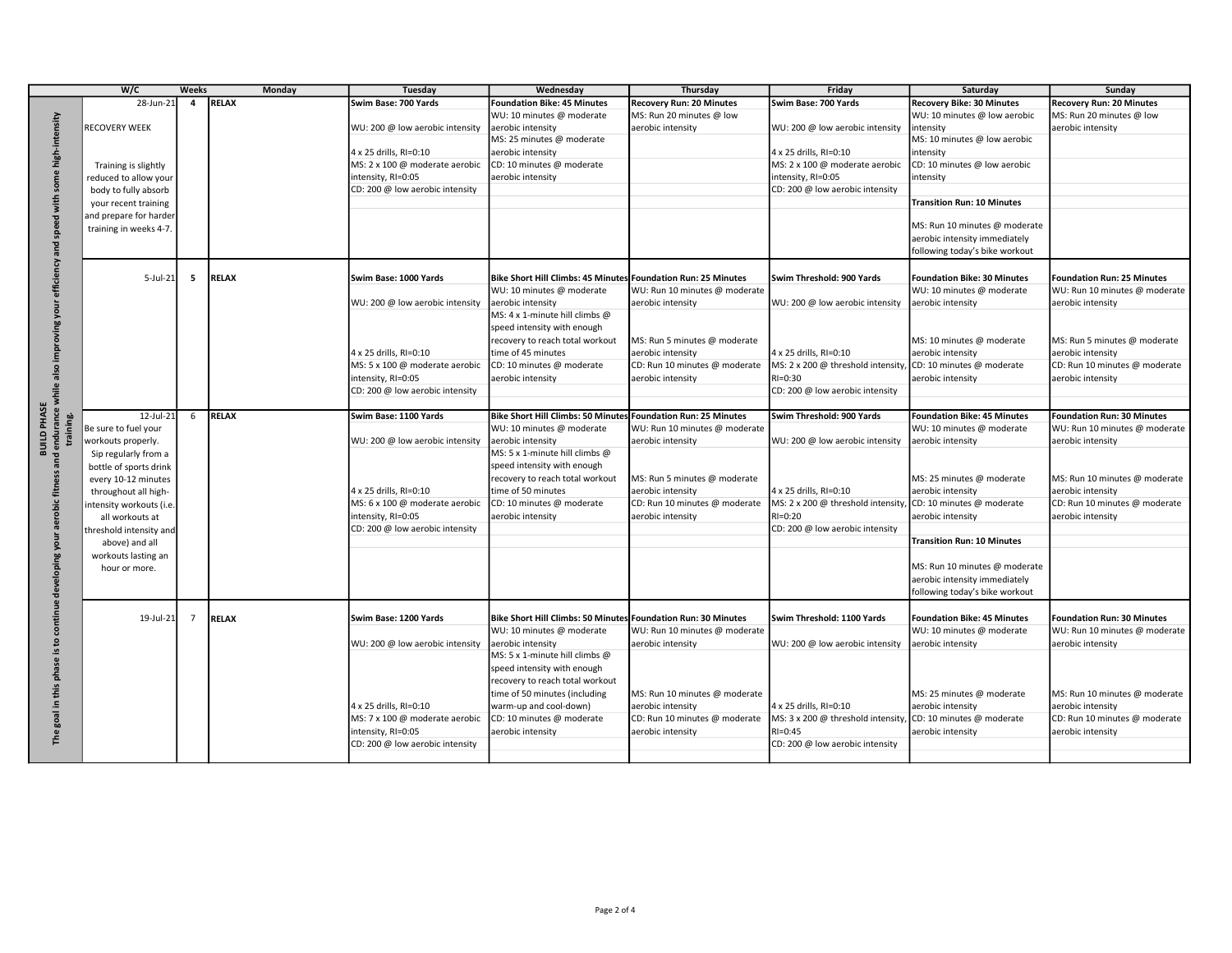|                                       | W/C                    | Weeks           | <b>Monday</b> | <b>Tuesday</b>                                        | Wednesday                                                     | Thursday                      | Friday                                         | Saturday                           | Sunday                            |
|---------------------------------------|------------------------|-----------------|---------------|-------------------------------------------------------|---------------------------------------------------------------|-------------------------------|------------------------------------------------|------------------------------------|-----------------------------------|
|                                       | 28-Jun-21              | $\overline{4}$  | <b>RELAX</b>  | Swim Base: 700 Yards                                  | <b>Foundation Bike: 45 Minutes</b>                            | Recovery Run: 20 Minutes      | Swim Base: 700 Yards                           | <b>Recovery Bike: 30 Minutes</b>   | <b>Recovery Run: 20 Minutes</b>   |
|                                       |                        |                 |               |                                                       | WU: 10 minutes @ moderate                                     | MS: Run 20 minutes @ low      |                                                | WU: 10 minutes @ low aerobic       | MS: Run 20 minutes @ low          |
|                                       | RECOVERY WEEK          |                 |               | WU: 200 @ low aerobic intensity                       | aerobic intensity                                             | aerobic intensity             | WU: 200 @ low aerobic intensity                | intensity                          | aerobic intensity                 |
| with some high-intensity              |                        |                 |               |                                                       | MS: 25 minutes @ moderate                                     |                               |                                                | MS: 10 minutes @ low aerobic       |                                   |
|                                       |                        |                 |               | 4 x 25 drills, RI=0:10                                | aerobic intensity                                             |                               | 4 x 25 drills, RI=0:10                         | intensity                          |                                   |
|                                       | Training is slightly   |                 |               | MS: 2 x 100 @ moderate aerobic                        | CD: 10 minutes @ moderate                                     |                               | MS: 2 x 100 @ moderate aerobic                 | CD: 10 minutes @ low aerobic       |                                   |
|                                       | reduced to allow your  |                 |               | intensity, RI=0:05                                    | aerobic intensity                                             |                               | intensity, RI=0:05                             | intensity                          |                                   |
|                                       | body to fully absorb   |                 |               | CD: 200 @ low aerobic intensity                       |                                                               |                               | CD: 200 @ low aerobic intensity                |                                    |                                   |
|                                       | your recent training   |                 |               |                                                       |                                                               |                               |                                                | <b>Transition Run: 10 Minutes</b>  |                                   |
|                                       | and prepare for harder |                 |               |                                                       |                                                               |                               |                                                | MS: Run 10 minutes @ moderate      |                                   |
|                                       | training in weeks 4-7. |                 |               |                                                       |                                                               |                               |                                                | aerobic intensity immediately      |                                   |
|                                       |                        |                 |               |                                                       |                                                               |                               |                                                | following today's bike workout     |                                   |
| efficiency and speed                  |                        |                 |               |                                                       |                                                               |                               |                                                |                                    |                                   |
|                                       | $5$ -Jul-21            | 5               | <b>RELAX</b>  | Swim Base: 1000 Yards                                 | Bike Short Hill Climbs: 45 Minutes Foundation Run: 25 Minutes |                               | Swim Threshold: 900 Yards                      | <b>Foundation Bike: 30 Minutes</b> | <b>Foundation Run: 25 Minutes</b> |
|                                       |                        |                 |               |                                                       | WU: 10 minutes @ moderate                                     | WU: Run 10 minutes @ moderate |                                                | WU: 10 minutes @ moderate          | WU: Run 10 minutes @ moderate     |
|                                       |                        |                 |               | WU: 200 @ low aerobic intensity                       | aerobic intensity                                             | aerobic intensity             | WU: 200 @ low aerobic intensity                | aerobic intensity                  | aerobic intensity                 |
| nne A Bu i no                         |                        |                 |               |                                                       | MS: 4 x 1-minute hill climbs @                                |                               |                                                |                                    |                                   |
|                                       |                        |                 |               |                                                       | speed intensity with enough                                   |                               |                                                |                                    |                                   |
|                                       |                        |                 |               |                                                       | recovery to reach total workout                               | MS: Run 5 minutes @ moderate  |                                                | MS: 10 minutes @ moderate          | MS: Run 5 minutes @ moderate      |
| impr                                  |                        |                 |               | 4 x 25 drills, RI=0:10                                | time of 45 minutes                                            | aerobic intensity             | 4 x 25 drills, RI=0:10                         | aerobic intensity                  | aerobic intensity                 |
|                                       |                        |                 |               | MS: 5 x 100 @ moderate aerobic                        | CD: 10 minutes @ moderate                                     | CD: Run 10 minutes @ moderate | MS: 2 x 200 @ threshold intensity              | CD: 10 minutes @ moderate          | CD: Run 10 minutes @ moderate     |
|                                       |                        |                 |               | intensity, RI=0:05                                    | aerobic intensity                                             | aerobic intensity             | $RI = 0:30$                                    | aerobic intensity                  | aerobic intensity                 |
|                                       |                        |                 |               | CD: 200 @ low aerobic intensity                       |                                                               |                               | CD: 200 @ low aerobic intensity                |                                    |                                   |
| ance while also<br><b>BUILD PHASE</b> | 12-Jul-21              | 6               | <b>RELAX</b>  | Swim Base: 1100 Yards                                 | Bike Short Hill Climbs: 50 Minutes Foundation Run: 25 Minutes |                               | Swim Threshold: 900 Yards                      | <b>Foundation Bike: 45 Minutes</b> | Foundation Run: 30 Minutes        |
| ng.                                   | Be sure to fuel your   |                 |               |                                                       | WU: 10 minutes @ moderate                                     | WU: Run 10 minutes @ moderate |                                                | WU: 10 minutes @ moderate          | WU: Run 10 minutes @ moderate     |
| endur.                                | workouts properly.     |                 |               | WU: 200 @ low aerobic intensity                       | aerobic intensity                                             | aerobic intensity             | WU: 200 @ low aerobic intensity                | aerobic intensity                  | aerobic intensity                 |
|                                       | Sip regularly from a   |                 |               |                                                       | MS: 5 x 1-minute hill climbs @                                |                               |                                                |                                    |                                   |
| and                                   | bottle of sports drink |                 |               |                                                       | speed intensity with enough                                   |                               |                                                |                                    |                                   |
|                                       | every 10-12 minutes    |                 |               |                                                       | recovery to reach total workout                               | MS: Run 5 minutes @ moderate  |                                                | MS: 25 minutes @ moderate          | MS: Run 10 minutes @ moderate     |
|                                       | throughout all high-   |                 |               | 4 x 25 drills, RI=0:10                                | time of 50 minutes                                            | aerobic intensity             | 4 x 25 drills, RI=0:10                         | aerobic intensity                  | aerobic intensity                 |
|                                       | ntensity workouts (i.e |                 |               | MS: 6 x 100 @ moderate aerobic                        | CD: 10 minutes @ moderate                                     | CD: Run 10 minutes @ moderate | MS: 2 x 200 @ threshold intensity              | CD: 10 minutes @ moderate          | CD: Run 10 minutes @ moderate     |
|                                       | all workouts at        |                 |               | intensity, RI=0:05                                    | aerobic intensity                                             | aerobic intensity             | $RI = 0:20$                                    | aerobic intensity                  | aerobic intensity                 |
|                                       | hreshold intensity and |                 |               | CD: 200 @ low aerobic intensity                       |                                                               |                               | CD: 200 @ low aerobic intensity                |                                    |                                   |
| developing your aerobic fitness       | above) and all         |                 |               |                                                       |                                                               |                               |                                                | <b>Transition Run: 10 Minutes</b>  |                                   |
|                                       | workouts lasting an    |                 |               |                                                       |                                                               |                               |                                                | MS: Run 10 minutes @ moderate      |                                   |
|                                       | hour or more.          |                 |               |                                                       |                                                               |                               |                                                | aerobic intensity immediately      |                                   |
|                                       |                        |                 |               |                                                       |                                                               |                               |                                                | following today's bike workout     |                                   |
|                                       |                        |                 |               |                                                       |                                                               |                               |                                                |                                    |                                   |
| continue                              | 19-Jul-21              | $7\overline{ }$ | RELAX         | Swim Base: 1200 Yards                                 | Bike Short Hill Climbs: 50 Minutes Foundation Run: 30 Minutes |                               | Swim Threshold: 1100 Yards                     | <b>Foundation Bike: 45 Minutes</b> | Foundation Run: 30 Minutes        |
|                                       |                        |                 |               |                                                       | WU: 10 minutes @ moderate                                     | WU: Run 10 minutes @ moderate |                                                | WU: 10 minutes @ moderate          | WU: Run 10 minutes @ moderate     |
| $\overline{a}$                        |                        |                 |               | WU: 200 @ low aerobic intensity                       | aerobic intensity                                             | aerobic intensity             | WU: 200 @ low aerobic intensity                | aerobic intensity                  | aerobic intensity                 |
| <u>.ഗ</u>                             |                        |                 |               |                                                       | MS: 5 x 1-minute hill climbs @                                |                               |                                                |                                    |                                   |
| phase                                 |                        |                 |               |                                                       | speed intensity with enough                                   |                               |                                                |                                    |                                   |
|                                       |                        |                 |               |                                                       | recovery to reach total workout                               |                               |                                                |                                    |                                   |
| this                                  |                        |                 |               |                                                       | time of 50 minutes (including                                 | MS: Run 10 minutes @ moderate |                                                | MS: 25 minutes @ moderate          | MS: Run 10 minutes @ moderate     |
| 르.                                    |                        |                 |               | 4 x 25 drills, RI=0:10                                | warm-up and cool-down)                                        | aerobic intensity             | 4 x 25 drills, RI=0:10                         | aerobic intensity                  | aerobic intensity                 |
| goal                                  |                        |                 |               | MS: 7 x 100 @ moderate aerobic                        | CD: 10 minutes @ moderate                                     | CD: Run 10 minutes @ moderate | MS: 3 x 200 @ threshold intensity              | CD: 10 minutes @ moderate          | CD: Run 10 minutes @ moderate     |
| The                                   |                        |                 |               | intensity, RI=0:05<br>CD: 200 @ low aerobic intensity | aerobic intensity                                             | aerobic intensity             | $RI = 0:45$<br>CD: 200 @ low aerobic intensity | aerobic intensity                  | aerobic intensity                 |
|                                       |                        |                 |               |                                                       |                                                               |                               |                                                |                                    |                                   |
|                                       |                        |                 |               |                                                       |                                                               |                               |                                                |                                    |                                   |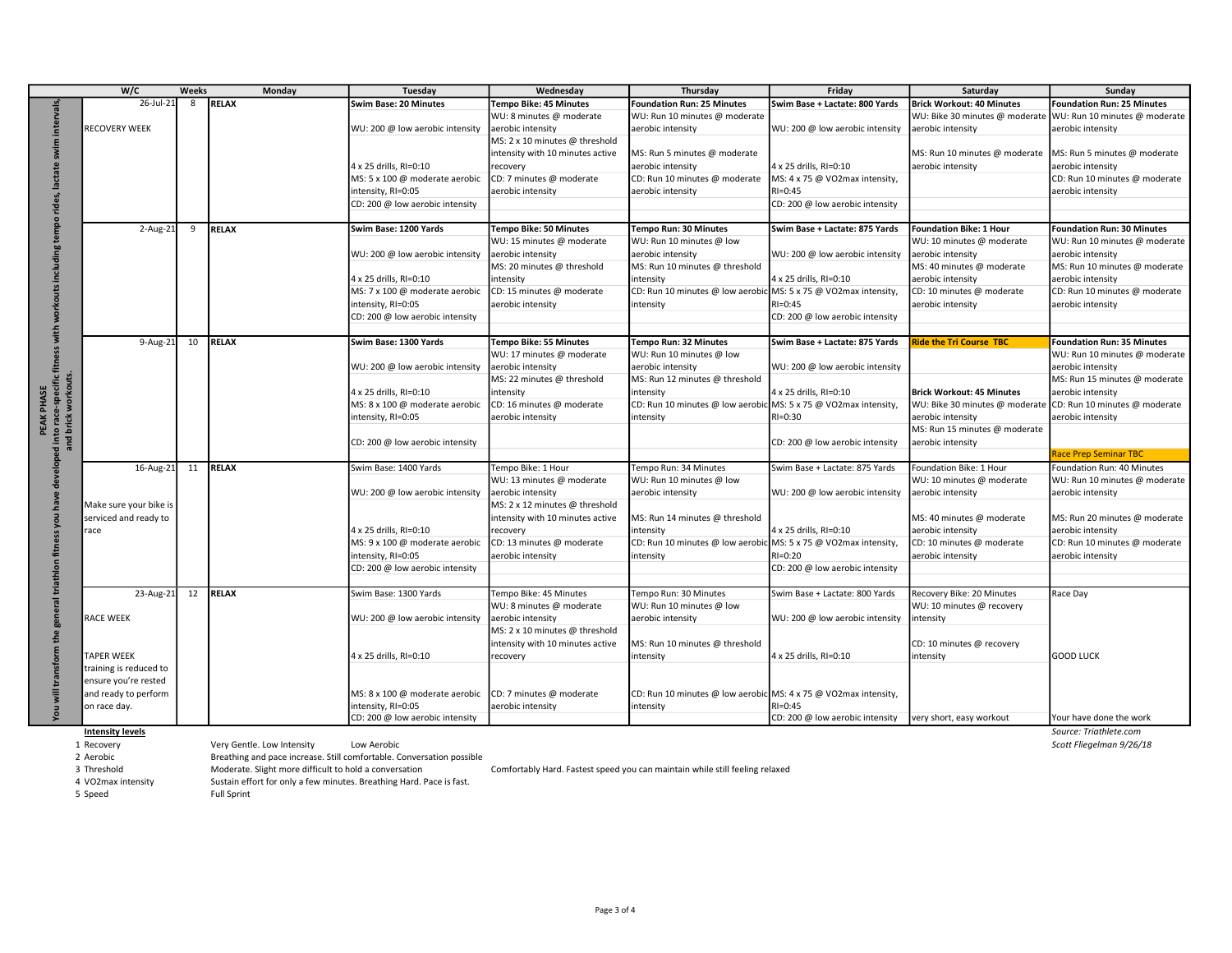|                                                                       | W/C                     | <b>Weeks</b> | Monday                                                               | Tuesday                                                               | Wednesday                                       | Thursday                                                                     | Friday                          | Saturday                         | Sunday                                             |
|-----------------------------------------------------------------------|-------------------------|--------------|----------------------------------------------------------------------|-----------------------------------------------------------------------|-------------------------------------------------|------------------------------------------------------------------------------|---------------------------------|----------------------------------|----------------------------------------------------|
|                                                                       | 26-Jul-21               | 8            | <b>RELAX</b>                                                         | Swim Base: 20 Minutes                                                 | <b>Tempo Bike: 45 Minutes</b>                   | <b>Foundation Run: 25 Minutes</b>                                            | Swim Base + Lactate: 800 Yards  | <b>Brick Workout: 40 Minutes</b> | <b>Foundation Run: 25 Minutes</b>                  |
| inter                                                                 |                         |              |                                                                      |                                                                       | WU: 8 minutes @ moderate                        | WU: Run 10 minutes @ moderate                                                |                                 | WU: Bike 30 minutes @ moderate   | WU: Run 10 minutes @ moderate                      |
|                                                                       | RECOVERY WEEK           |              |                                                                      | WU: 200 @ low aerobic intensity                                       | aerobic intensity                               | aerobic intensity                                                            | WU: 200 @ low aerobic intensity | aerobic intensity                | aerobic intensity                                  |
|                                                                       |                         |              |                                                                      |                                                                       | MS: 2 x 10 minutes @ threshold                  |                                                                              |                                 |                                  |                                                    |
|                                                                       |                         |              |                                                                      |                                                                       | intensity with 10 minutes active                | MS: Run 5 minutes @ moderate                                                 |                                 | MS: Run 10 minutes @ moderate    | MS: Run 5 minutes @ moderate                       |
|                                                                       |                         |              |                                                                      | 4 x 25 drills, RI=0:10                                                | ecovery                                         | aerobic intensity                                                            | 4 x 25 drills, RI=0:10          | aerobic intensity                | aerobic intensity                                  |
|                                                                       |                         |              |                                                                      | MS: 5 x 100 @ moderate aerobic                                        | CD: 7 minutes @ moderate                        | CD: Run 10 minutes @ moderate                                                | MS: 4 x 75 @ VO2max intensity,  |                                  | CD: Run 10 minutes @ moderate                      |
|                                                                       |                         |              |                                                                      | intensity, RI=0:05                                                    | aerobic intensity                               | aerobic intensity                                                            | $RI = 0:45$                     |                                  | aerobic intensity                                  |
|                                                                       |                         |              |                                                                      | CD: 200 @ low aerobic intensity                                       |                                                 |                                                                              | CD: 200 @ low aerobic intensity |                                  |                                                    |
|                                                                       |                         |              |                                                                      |                                                                       |                                                 |                                                                              |                                 |                                  |                                                    |
|                                                                       | $2-Aug-21$              | 9            | RELAX                                                                | Swim Base: 1200 Yards                                                 | <b>Tempo Bike: 50 Minutes</b>                   | Tempo Run: 30 Minutes                                                        | Swim Base + Lactate: 875 Yards  | <b>Foundation Bike: 1 Hour</b>   | <b>Foundation Run: 30 Minutes</b>                  |
|                                                                       |                         |              |                                                                      |                                                                       | WU: 15 minutes @ moderate                       | WU: Run 10 minutes @ low                                                     |                                 | WU: 10 minutes @ moderate        | WU: Run 10 minutes @ moderate                      |
|                                                                       |                         |              |                                                                      | WU: 200 @ low aerobic intensity                                       | aerobic intensity                               | aerobic intensity                                                            | WU: 200 @ low aerobic intensity | aerobic intensity                | aerobic intensity                                  |
|                                                                       |                         |              |                                                                      |                                                                       | MS: 20 minutes @ threshold                      | MS: Run 10 minutes @ threshold                                               |                                 | MS: 40 minutes @ moderate        | MS: Run 10 minutes @ moderate                      |
|                                                                       |                         |              |                                                                      | 4 x 25 drills, RI=0:10                                                | intensity                                       | intensity                                                                    | 4 x 25 drills, RI=0:10          | aerobic intensity                | aerobic intensity                                  |
|                                                                       |                         |              |                                                                      | MS: 7 x 100 @ moderate aerobic                                        | CD: 15 minutes @ moderate                       | CD: Run 10 minutes @ low aerobic MS: 5 x 75 @ VO2max intensity,              |                                 | CD: 10 minutes @ moderate        | CD: Run 10 minutes @ moderate                      |
|                                                                       |                         |              |                                                                      | intensity, RI=0:05                                                    | aerobic intensity                               | intensity                                                                    | $RI = 0:45$                     | aerobic intensity                | aerobic intensity                                  |
|                                                                       |                         |              |                                                                      | CD: 200 @ low aerobic intensity                                       |                                                 |                                                                              | CD: 200 @ low aerobic intensity |                                  |                                                    |
| with                                                                  |                         |              |                                                                      |                                                                       |                                                 |                                                                              |                                 |                                  |                                                    |
|                                                                       | 9-Aug-21                | 10           | <b>RELAX</b>                                                         | Swim Base: 1300 Yards                                                 | <b>Tempo Bike: 55 Minutes</b>                   | Tempo Run: 32 Minutes                                                        | Swim Base + Lactate: 875 Yards  | <b>Ride the Tri Course TBC</b>   | <b>Foundation Run: 35 Minutes</b>                  |
|                                                                       |                         |              |                                                                      |                                                                       | WU: 17 minutes @ moderate                       | WU: Run 10 minutes @ low                                                     |                                 |                                  | WU: Run 10 minutes @ moderate                      |
|                                                                       |                         |              |                                                                      | WU: 200 @ low aerobic intensity                                       | aerobic intensity<br>MS: 22 minutes @ threshold | aerobic intensity<br>MS: Run 12 minutes @ threshold                          | WU: 200 @ low aerobic intensity |                                  | aerobic intensity<br>MS: Run 15 minutes @ moderate |
|                                                                       |                         |              |                                                                      | 4 x 25 drills, RI=0:10                                                | ntensity                                        | intensity                                                                    | 4 x 25 drills, RI=0:10          | <b>Brick Workout: 45 Minutes</b> | aerobic intensity                                  |
|                                                                       |                         |              |                                                                      | MS: 8 x 100 @ moderate aerobic                                        | CD: 16 minutes @ moderate                       | CD: Run 10 minutes @ low aerobic MS: 5 x 75 @ VO2max intensity,              |                                 | WU: Bike 30 minutes @ moderate   | CD: Run 10 minutes @ moderate                      |
|                                                                       |                         |              |                                                                      | intensity, RI=0:05                                                    | aerobic intensity                               | intensity                                                                    | RI=0:30                         | aerobic intensity                | aerobic intensity                                  |
| PEAK PHASE<br>to race-specific fitne                                  |                         |              |                                                                      |                                                                       |                                                 |                                                                              |                                 | MS: Run 15 minutes @ moderate    |                                                    |
| nd brick workouts.                                                    |                         |              |                                                                      | CD: 200 @ low aerobic intensity                                       |                                                 |                                                                              | CD: 200 @ low aerobic intensity | aerobic intensity                |                                                    |
|                                                                       |                         |              |                                                                      |                                                                       |                                                 |                                                                              |                                 |                                  | Race Prep Seminar TBC                              |
|                                                                       | 16-Aug-21               | 11           | <b>RELAX</b>                                                         | Swim Base: 1400 Yards                                                 | Tempo Bike: 1 Hour                              | Tempo Run: 34 Minutes                                                        | Swim Base + Lactate: 875 Yards  | Foundation Bike: 1 Hour          | Foundation Run: 40 Minutes                         |
|                                                                       |                         |              |                                                                      |                                                                       | WU: 13 minutes @ moderate                       | WU: Run 10 minutes @ low                                                     |                                 | WU: 10 minutes @ moderate        | WU: Run 10 minutes @ moderate                      |
|                                                                       |                         |              |                                                                      | WU: 200 @ low aerobic intensity                                       | aerobic intensity                               | aerobic intensity                                                            | WU: 200 @ low aerobic intensity | aerobic intensity                | aerobic intensity                                  |
| 요                                                                     | Make sure your bike is  |              |                                                                      |                                                                       | MS: 2 x 12 minutes @ threshold                  |                                                                              |                                 |                                  |                                                    |
|                                                                       | serviced and ready to   |              |                                                                      |                                                                       | intensity with 10 minutes active                | MS: Run 14 minutes @ threshold                                               |                                 | MS: 40 minutes @ moderate        | MS: Run 20 minutes @ moderate                      |
|                                                                       | race                    |              |                                                                      | 4 x 25 drills, RI=0:10                                                | ecovery                                         | intensity                                                                    | 4 x 25 drills, RI=0:10          | aerobic intensity                | aerobic intensity                                  |
|                                                                       |                         |              |                                                                      | MS: 9 x 100 @ moderate aerobic                                        | CD: 13 minutes @ moderate                       | CD: Run 10 minutes @ low aerobic MS: 5 x 75 @ VO2max intensity,              |                                 | CD: 10 minutes @ moderate        | CD: Run 10 minutes @ moderate                      |
| €                                                                     |                         |              |                                                                      | intensity, RI=0:05                                                    | aerobic intensity                               | intensity                                                                    | RI=0:20                         | aerobic intensity                | aerobic intensity                                  |
|                                                                       |                         |              |                                                                      | CD: 200 @ low aerobic intensity                                       |                                                 |                                                                              | CD: 200 @ low aerobic intensity |                                  |                                                    |
| tria                                                                  |                         |              |                                                                      |                                                                       |                                                 |                                                                              |                                 |                                  |                                                    |
|                                                                       | 23-Aug-21               |              | 12 RELAX                                                             | Swim Base: 1300 Yards                                                 | Tempo Bike: 45 Minutes                          | Tempo Run: 30 Minutes                                                        | Swim Base + Lactate: 800 Yards  | Recovery Bike: 20 Minutes        | Race Day                                           |
|                                                                       |                         |              |                                                                      |                                                                       | WU: 8 minutes @ moderate                        | WU: Run 10 minutes @ low                                                     |                                 | WU: 10 minutes @ recovery        |                                                    |
| <b>ge</b>                                                             | RACE WEEK               |              |                                                                      | WU: 200 @ low aerobic intensity                                       | aerobic intensity                               | aerobic intensity                                                            | WU: 200 @ low aerobic intensity | intensity                        |                                                    |
| the                                                                   |                         |              |                                                                      |                                                                       | MS: 2 x 10 minutes @ threshold                  |                                                                              |                                 |                                  |                                                    |
|                                                                       | <b>TAPER WEEK</b>       |              |                                                                      | 4 x 25 drills, RI=0:10                                                | intensity with 10 minutes active                | MS: Run 10 minutes @ threshold                                               | 4 x 25 drills, RI=0:10          | CD: 10 minutes @ recovery        | <b>GOOD LUCK</b>                                   |
| transform                                                             | training is reduced to  |              |                                                                      |                                                                       | recovery                                        | intensity                                                                    |                                 | intensity                        |                                                    |
|                                                                       | ensure you're rested    |              |                                                                      |                                                                       |                                                 |                                                                              |                                 |                                  |                                                    |
|                                                                       | and ready to perform    |              |                                                                      | MS: 8 x 100 @ moderate aerobic                                        | CD: 7 minutes @ moderate                        | CD: Run 10 minutes @ low aerobic MS: 4 x 75 @ VO2max intensity,              |                                 |                                  |                                                    |
| $\overline{\mathbf{v}}$                                               | on race day.            |              |                                                                      | intensity, RI=0:05                                                    | aerobic intensity                               | intensity                                                                    | RI=0:45                         |                                  |                                                    |
|                                                                       |                         |              |                                                                      | CD: 200 @ low aerobic intensity                                       |                                                 |                                                                              | CD: 200 @ low aerobic intensity | very short, easy workout         | Your have done the work                            |
|                                                                       | <b>Intensity levels</b> |              |                                                                      |                                                                       |                                                 |                                                                              |                                 |                                  | Source: Triathlete.com                             |
|                                                                       | 1 Recovery              |              | Very Gentle. Low Intensity                                           | Low Aerobic                                                           |                                                 |                                                                              |                                 |                                  | Scott Fliegelman 9/26/18                           |
|                                                                       | 2 Aerobic               |              |                                                                      | Breathing and pace increase. Still comfortable. Conversation possible |                                                 |                                                                              |                                 |                                  |                                                    |
| 3 Threshold<br>Moderate. Slight more difficult to hold a conversation |                         |              |                                                                      |                                                                       |                                                 | Comfortably Hard. Fastest speed you can maintain while still feeling relaxed |                                 |                                  |                                                    |
|                                                                       | 4 VO2max intensity      |              | Sustain effort for only a few minutes. Breathing Hard. Pace is fast. |                                                                       |                                                 |                                                                              |                                 |                                  |                                                    |
|                                                                       | 5 Speed                 |              | <b>Full Sprint</b>                                                   |                                                                       |                                                 |                                                                              |                                 |                                  |                                                    |

Page 3 of 4